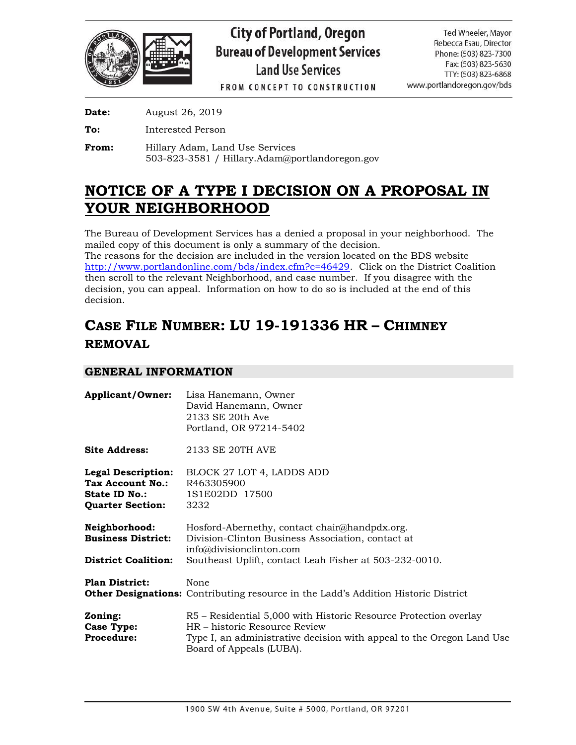

FROM CONCEPT TO CONSTRUCTION

**Date:** August 26, 2019

**To:** Interested Person

**From:** Hillary Adam, Land Use Services 503-823-3581 / Hillary.Adam@portlandoregon.gov

# **NOTICE OF A TYPE I DECISION ON A PROPOSAL IN YOUR NEIGHBORHOOD**

The Bureau of Development Services has a denied a proposal in your neighborhood. The mailed copy of this document is only a summary of the decision.

The reasons for the decision are included in the version located on the BDS website [http://www.portlandonline.com/bds/index.cfm?c=46429.](http://www.portlandonline.com/bds/index.cfm?c=46429) Click on the District Coalition then scroll to the relevant Neighborhood, and case number. If you disagree with the decision, you can appeal. Information on how to do so is included at the end of this decision.

# **CASE FILE NUMBER: LU 19-191336 HR – CHIMNEY REMOVAL**

# **GENERAL INFORMATION**

|                                                                                           | Applicant/Owner: Lisa Hanemann, Owner<br>David Hanemann, Owner<br>2133 SE 20th Ave<br>Portland, OR 97214-5402                                                                                          |
|-------------------------------------------------------------------------------------------|--------------------------------------------------------------------------------------------------------------------------------------------------------------------------------------------------------|
| <b>Site Address:</b>                                                                      | 2133 SE 20TH AVE                                                                                                                                                                                       |
| <b>Legal Description:</b><br>Tax Account No.:<br>State ID No.:<br><b>Quarter Section:</b> | BLOCK 27 LOT 4, LADDS ADD<br>R463305900<br>1S1E02DD 17500<br>3232                                                                                                                                      |
| <b>Neighborhood:</b><br><b>Business District:</b><br><b>District Coalition:</b>           | Hosford-Abernethy, contact chair@handpdx.org.<br>Division-Clinton Business Association, contact at<br>info@divisionclinton.com<br>Southeast Uplift, contact Leah Fisher at 503-232-0010.               |
| <b>Plan District:</b>                                                                     | None<br><b>Other Designations:</b> Contributing resource in the Ladd's Addition Historic District                                                                                                      |
| Zoning:<br>Case Type:<br><b>Procedure:</b>                                                | R5 – Residential 5,000 with Historic Resource Protection overlay<br>HR - historic Resource Review<br>Type I, an administrative decision with appeal to the Oregon Land Use<br>Board of Appeals (LUBA). |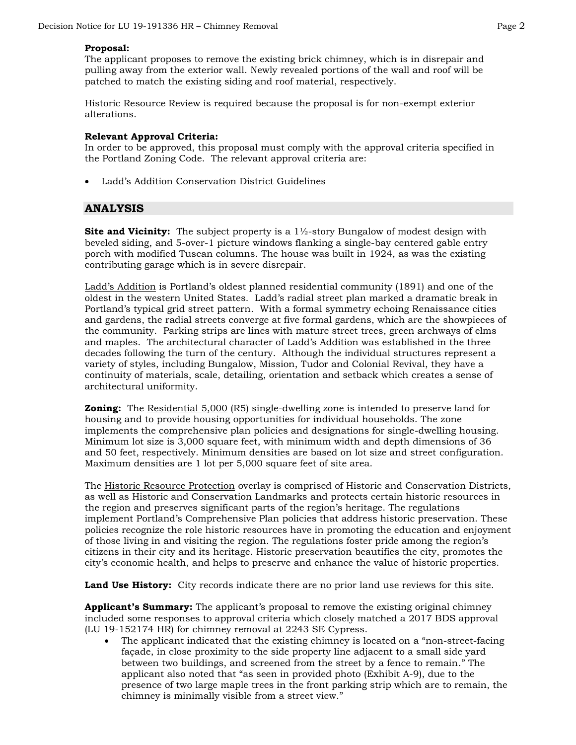## **Proposal:**

The applicant proposes to remove the existing brick chimney, which is in disrepair and pulling away from the exterior wall. Newly revealed portions of the wall and roof will be patched to match the existing siding and roof material, respectively.

Historic Resource Review is required because the proposal is for non-exempt exterior alterations.

## **Relevant Approval Criteria:**

In order to be approved, this proposal must comply with the approval criteria specified in the Portland Zoning Code. The relevant approval criteria are:

• Ladd's Addition Conservation District Guidelines

## **ANALYSIS**

**Site and Vicinity:** The subject property is a 1<sup>1</sup>/<sub>2</sub>-story Bungalow of modest design with beveled siding, and 5-over-1 picture windows flanking a single-bay centered gable entry porch with modified Tuscan columns. The house was built in 1924, as was the existing contributing garage which is in severe disrepair.

Ladd's Addition is Portland's oldest planned residential community (1891) and one of the oldest in the western United States. Ladd's radial street plan marked a dramatic break in Portland's typical grid street pattern. With a formal symmetry echoing Renaissance cities and gardens, the radial streets converge at five formal gardens, which are the showpieces of the community. Parking strips are lines with mature street trees, green archways of elms and maples. The architectural character of Ladd's Addition was established in the three decades following the turn of the century. Although the individual structures represent a variety of styles, including Bungalow, Mission, Tudor and Colonial Revival, they have a continuity of materials, scale, detailing, orientation and setback which creates a sense of architectural uniformity.

**Zoning:** The Residential 5,000 (R5) single-dwelling zone is intended to preserve land for housing and to provide housing opportunities for individual households. The zone implements the comprehensive plan policies and designations for single-dwelling housing. Minimum lot size is 3,000 square feet, with minimum width and depth dimensions of 36 and 50 feet, respectively. Minimum densities are based on lot size and street configuration. Maximum densities are 1 lot per 5,000 square feet of site area.

The Historic Resource Protection overlay is comprised of Historic and Conservation Districts, as well as Historic and Conservation Landmarks and protects certain historic resources in the region and preserves significant parts of the region's heritage. The regulations implement Portland's Comprehensive Plan policies that address historic preservation. These policies recognize the role historic resources have in promoting the education and enjoyment of those living in and visiting the region. The regulations foster pride among the region's citizens in their city and its heritage. Historic preservation beautifies the city, promotes the city's economic health, and helps to preserve and enhance the value of historic properties.

**Land Use History:** City records indicate there are no prior land use reviews for this site.

**Applicant's Summary:** The applicant's proposal to remove the existing original chimney included some responses to approval criteria which closely matched a 2017 BDS approval (LU 19-152174 HR) for chimney removal at 2243 SE Cypress.

• The applicant indicated that the existing chimney is located on a "non-street-facing façade, in close proximity to the side property line adjacent to a small side yard between two buildings, and screened from the street by a fence to remain." The applicant also noted that "as seen in provided photo (Exhibit A-9), due to the presence of two large maple trees in the front parking strip which are to remain, the chimney is minimally visible from a street view."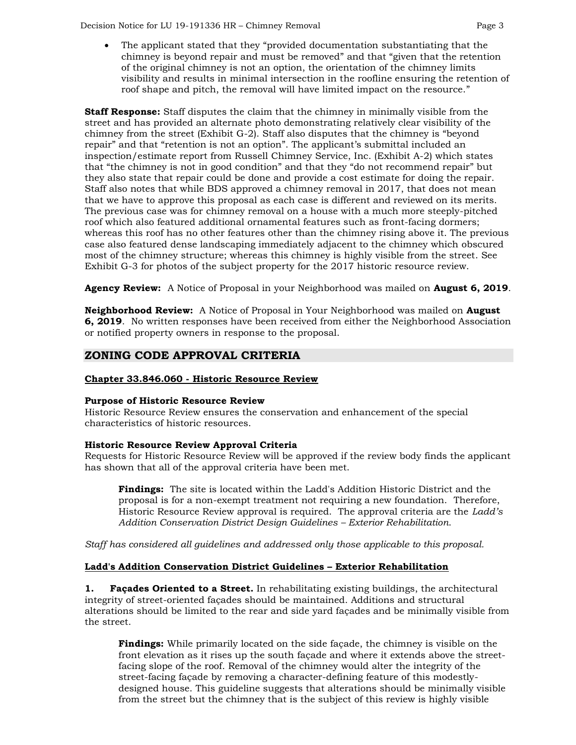Decision Notice for LU 19-191336 HR – Chimney Removal Page 3

• The applicant stated that they "provided documentation substantiating that the chimney is beyond repair and must be removed" and that "given that the retention of the original chimney is not an option, the orientation of the chimney limits visibility and results in minimal intersection in the roofline ensuring the retention of roof shape and pitch, the removal will have limited impact on the resource."

**Staff Response:** Staff disputes the claim that the chimney in minimally visible from the street and has provided an alternate photo demonstrating relatively clear visibility of the chimney from the street (Exhibit G-2). Staff also disputes that the chimney is "beyond repair" and that "retention is not an option". The applicant's submittal included an inspection/estimate report from Russell Chimney Service, Inc. (Exhibit A-2) which states that "the chimney is not in good condition" and that they "do not recommend repair" but they also state that repair could be done and provide a cost estimate for doing the repair. Staff also notes that while BDS approved a chimney removal in 2017, that does not mean that we have to approve this proposal as each case is different and reviewed on its merits. The previous case was for chimney removal on a house with a much more steeply-pitched roof which also featured additional ornamental features such as front-facing dormers; whereas this roof has no other features other than the chimney rising above it. The previous case also featured dense landscaping immediately adjacent to the chimney which obscured most of the chimney structure; whereas this chimney is highly visible from the street. See Exhibit G-3 for photos of the subject property for the 2017 historic resource review.

**Agency Review:** A Notice of Proposal in your Neighborhood was mailed on **August 6, 2019**.

**Neighborhood Review:** A Notice of Proposal in Your Neighborhood was mailed on **August 6, 2019**. No written responses have been received from either the Neighborhood Association or notified property owners in response to the proposal.

# **ZONING CODE APPROVAL CRITERIA**

## **Chapter 33.846.060 - Historic Resource Review**

## **Purpose of Historic Resource Review**

Historic Resource Review ensures the conservation and enhancement of the special characteristics of historic resources.

## **Historic Resource Review Approval Criteria**

Requests for Historic Resource Review will be approved if the review body finds the applicant has shown that all of the approval criteria have been met.

**Findings:** The site is located within the Ladd's Addition Historic District and the proposal is for a non-exempt treatment not requiring a new foundation. Therefore, Historic Resource Review approval is required. The approval criteria are the *Ladd's Addition Conservation District Design Guidelines – Exterior Rehabilitation*.

*Staff has considered all guidelines and addressed only those applicable to this proposal.*

## **Ladd's Addition Conservation District Guidelines – Exterior Rehabilitation**

**1. Façades Oriented to a Street.** In rehabilitating existing buildings, the architectural integrity of street-oriented façades should be maintained. Additions and structural alterations should be limited to the rear and side yard façades and be minimally visible from the street.

**Findings:** While primarily located on the side façade, the chimney is visible on the front elevation as it rises up the south façade and where it extends above the streetfacing slope of the roof. Removal of the chimney would alter the integrity of the street-facing façade by removing a character-defining feature of this modestlydesigned house. This guideline suggests that alterations should be minimally visible from the street but the chimney that is the subject of this review is highly visible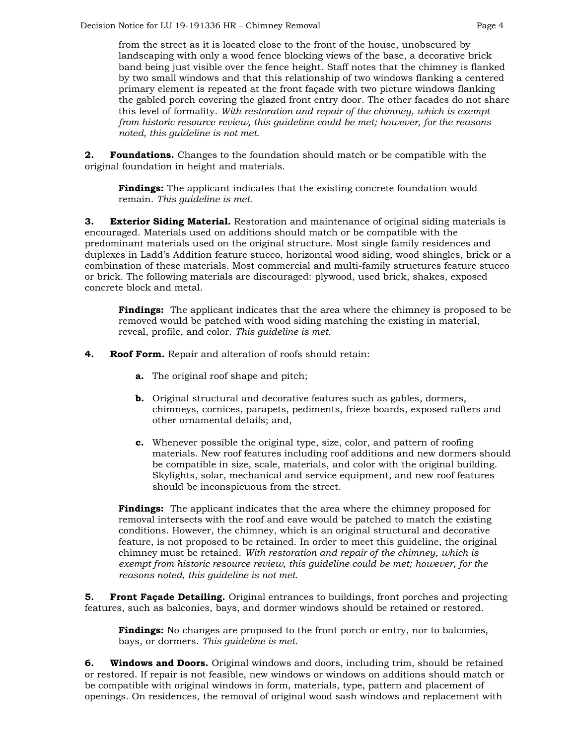from the street as it is located close to the front of the house, unobscured by landscaping with only a wood fence blocking views of the base, a decorative brick band being just visible over the fence height. Staff notes that the chimney is flanked by two small windows and that this relationship of two windows flanking a centered primary element is repeated at the front façade with two picture windows flanking the gabled porch covering the glazed front entry door. The other facades do not share this level of formality. *With restoration and repair of the chimney, which is exempt from historic resource review, this guideline could be met; however, for the reasons noted, this guideline is not met.*

**2. Foundations.** Changes to the foundation should match or be compatible with the original foundation in height and materials.

**Findings:** The applicant indicates that the existing concrete foundation would remain. *This guideline is met.*

**3. Exterior Siding Material.** Restoration and maintenance of original siding materials is encouraged. Materials used on additions should match or be compatible with the predominant materials used on the original structure. Most single family residences and duplexes in Ladd's Addition feature stucco, horizontal wood siding, wood shingles, brick or a combination of these materials. Most commercial and multi-family structures feature stucco or brick. The following materials are discouraged: plywood, used brick, shakes, exposed concrete block and metal.

**Findings:** The applicant indicates that the area where the chimney is proposed to be removed would be patched with wood siding matching the existing in material, reveal, profile, and color. *This guideline is met.*

- **4. Roof Form.** Repair and alteration of roofs should retain:
	- **a.** The original roof shape and pitch;
	- **b.** Original structural and decorative features such as gables, dormers, chimneys, cornices, parapets, pediments, frieze boards, exposed rafters and other ornamental details; and,
	- **c.** Whenever possible the original type, size, color, and pattern of roofing materials. New roof features including roof additions and new dormers should be compatible in size, scale, materials, and color with the original building. Skylights, solar, mechanical and service equipment, and new roof features should be inconspicuous from the street.

**Findings:** The applicant indicates that the area where the chimney proposed for removal intersects with the roof and eave would be patched to match the existing conditions. However, the chimney, which is an original structural and decorative feature, is not proposed to be retained. In order to meet this guideline, the original chimney must be retained. *With restoration and repair of the chimney, which is exempt from historic resource review, this guideline could be met; however, for the reasons noted, this guideline is not met.*

**5. Front Façade Detailing.** Original entrances to buildings, front porches and projecting features, such as balconies, bays, and dormer windows should be retained or restored.

**Findings:** No changes are proposed to the front porch or entry, nor to balconies, bays, or dormers. *This guideline is met.*

**6. Windows and Doors.** Original windows and doors, including trim, should be retained or restored. If repair is not feasible, new windows or windows on additions should match or be compatible with original windows in form, materials, type, pattern and placement of openings. On residences, the removal of original wood sash windows and replacement with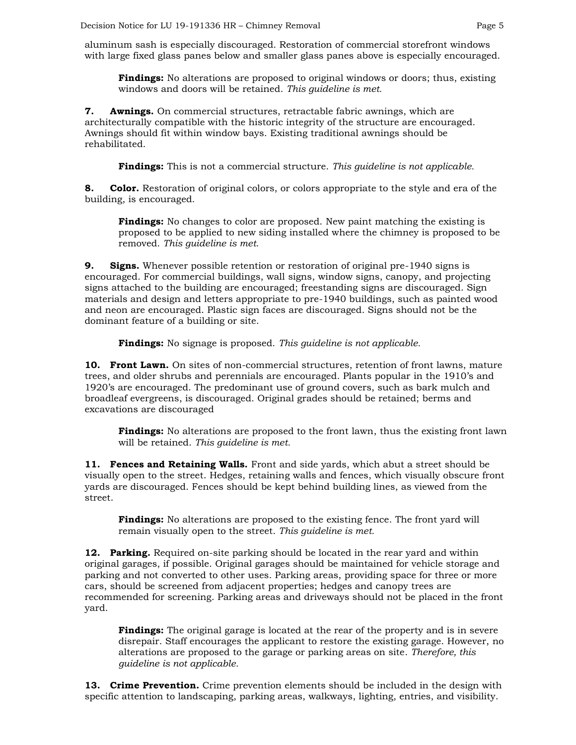aluminum sash is especially discouraged. Restoration of commercial storefront windows with large fixed glass panes below and smaller glass panes above is especially encouraged.

**Findings:** No alterations are proposed to original windows or doors; thus, existing windows and doors will be retained. *This guideline is met.*

**7. Awnings.** On commercial structures, retractable fabric awnings, which are architecturally compatible with the historic integrity of the structure are encouraged. Awnings should fit within window bays. Existing traditional awnings should be rehabilitated.

**Findings:** This is not a commercial structure. *This guideline is not applicable.*

**8. Color.** Restoration of original colors, or colors appropriate to the style and era of the building, is encouraged.

**Findings:** No changes to color are proposed. New paint matching the existing is proposed to be applied to new siding installed where the chimney is proposed to be removed. *This guideline is met.*

**9. Signs.** Whenever possible retention or restoration of original pre-1940 signs is encouraged. For commercial buildings, wall signs, window signs, canopy, and projecting signs attached to the building are encouraged; freestanding signs are discouraged. Sign materials and design and letters appropriate to pre-1940 buildings, such as painted wood and neon are encouraged. Plastic sign faces are discouraged. Signs should not be the dominant feature of a building or site.

**Findings:** No signage is proposed. *This guideline is not applicable.*

**10. Front Lawn.** On sites of non-commercial structures, retention of front lawns, mature trees, and older shrubs and perennials are encouraged. Plants popular in the 1910's and 1920's are encouraged. The predominant use of ground covers, such as bark mulch and broadleaf evergreens, is discouraged. Original grades should be retained; berms and excavations are discouraged

**Findings:** No alterations are proposed to the front lawn, thus the existing front lawn will be retained. *This guideline is met.*

**11. Fences and Retaining Walls.** Front and side yards, which abut a street should be visually open to the street. Hedges, retaining walls and fences, which visually obscure front yards are discouraged. Fences should be kept behind building lines, as viewed from the street.

**Findings:** No alterations are proposed to the existing fence. The front yard will remain visually open to the street. *This guideline is met.*

**12. Parking.** Required on-site parking should be located in the rear yard and within original garages, if possible. Original garages should be maintained for vehicle storage and parking and not converted to other uses. Parking areas, providing space for three or more cars, should be screened from adjacent properties; hedges and canopy trees are recommended for screening. Parking areas and driveways should not be placed in the front yard.

**Findings:** The original garage is located at the rear of the property and is in severe disrepair. Staff encourages the applicant to restore the existing garage. However, no alterations are proposed to the garage or parking areas on site. *Therefore, this guideline is not applicable.*

**13. Crime Prevention.** Crime prevention elements should be included in the design with specific attention to landscaping, parking areas, walkways, lighting, entries, and visibility.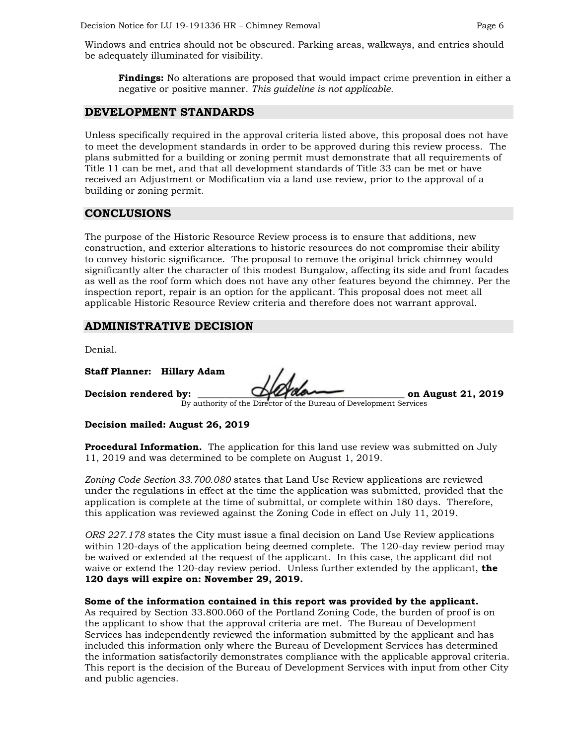Windows and entries should not be obscured. Parking areas, walkways, and entries should be adequately illuminated for visibility.

**Findings:** No alterations are proposed that would impact crime prevention in either a negative or positive manner. *This guideline is not applicable.*

#### **DEVELOPMENT STANDARDS**

Unless specifically required in the approval criteria listed above, this proposal does not have to meet the development standards in order to be approved during this review process. The plans submitted for a building or zoning permit must demonstrate that all requirements of Title 11 can be met, and that all development standards of Title 33 can be met or have received an Adjustment or Modification via a land use review, prior to the approval of a building or zoning permit.

## **CONCLUSIONS**

The purpose of the Historic Resource Review process is to ensure that additions, new construction, and exterior alterations to historic resources do not compromise their ability to convey historic significance. The proposal to remove the original brick chimney would significantly alter the character of this modest Bungalow, affecting its side and front facades as well as the roof form which does not have any other features beyond the chimney. Per the inspection report, repair is an option for the applicant. This proposal does not meet all applicable Historic Resource Review criteria and therefore does not warrant approval.

## **ADMINISTRATIVE DECISION**

Denial.

**Staff Planner: Hillary Adam**

**Decision rendered by: \_\_\_\_\_\_\_\_\_\_\_\_\_\_\_\_\_\_\_\_\_\_\_\_\_\_\_\_\_\_\_\_\_\_\_\_\_\_\_\_\_\_\_\_ on August 21, 2019**

By authority of the Director of the Bureau of Development Services

#### **Decision mailed: August 26, 2019**

**Procedural Information.** The application for this land use review was submitted on July 11, 2019 and was determined to be complete on August 1, 2019.

*Zoning Code Section 33.700.080* states that Land Use Review applications are reviewed under the regulations in effect at the time the application was submitted, provided that the application is complete at the time of submittal, or complete within 180 days. Therefore, this application was reviewed against the Zoning Code in effect on July 11, 2019.

*ORS 227.178* states the City must issue a final decision on Land Use Review applications within 120-days of the application being deemed complete. The 120-day review period may be waived or extended at the request of the applicant. In this case, the applicant did not waive or extend the 120-day review period. Unless further extended by the applicant, **the 120 days will expire on: November 29, 2019.**

#### **Some of the information contained in this report was provided by the applicant.**

As required by Section 33.800.060 of the Portland Zoning Code, the burden of proof is on the applicant to show that the approval criteria are met. The Bureau of Development Services has independently reviewed the information submitted by the applicant and has included this information only where the Bureau of Development Services has determined the information satisfactorily demonstrates compliance with the applicable approval criteria. This report is the decision of the Bureau of Development Services with input from other City and public agencies.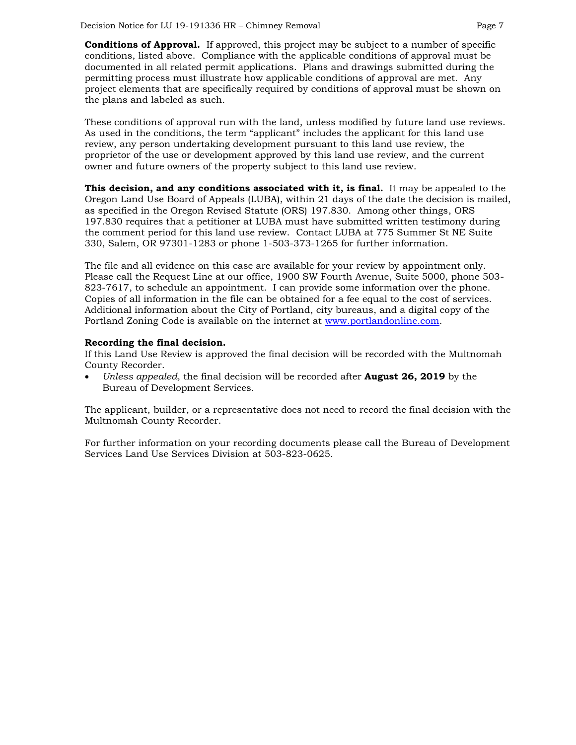**Conditions of Approval.** If approved, this project may be subject to a number of specific conditions, listed above. Compliance with the applicable conditions of approval must be documented in all related permit applications. Plans and drawings submitted during the permitting process must illustrate how applicable conditions of approval are met. Any project elements that are specifically required by conditions of approval must be shown on the plans and labeled as such.

These conditions of approval run with the land, unless modified by future land use reviews. As used in the conditions, the term "applicant" includes the applicant for this land use review, any person undertaking development pursuant to this land use review, the proprietor of the use or development approved by this land use review, and the current owner and future owners of the property subject to this land use review.

**This decision, and any conditions associated with it, is final.** It may be appealed to the Oregon Land Use Board of Appeals (LUBA), within 21 days of the date the decision is mailed, as specified in the Oregon Revised Statute (ORS) 197.830. Among other things, ORS 197.830 requires that a petitioner at LUBA must have submitted written testimony during the comment period for this land use review. Contact LUBA at 775 Summer St NE Suite 330, Salem, OR 97301-1283 or phone 1-503-373-1265 for further information.

The file and all evidence on this case are available for your review by appointment only. Please call the Request Line at our office, 1900 SW Fourth Avenue, Suite 5000, phone 503- 823-7617, to schedule an appointment. I can provide some information over the phone. Copies of all information in the file can be obtained for a fee equal to the cost of services. Additional information about the City of Portland, city bureaus, and a digital copy of the Portland Zoning Code is available on the internet at [www.portlandonline.com.](http://www.portlandonline.com/)

#### **Recording the final decision.**

If this Land Use Review is approved the final decision will be recorded with the Multnomah County Recorder.

• *Unless appealed,* the final decision will be recorded after **August 26, 2019** by the Bureau of Development Services.

The applicant, builder, or a representative does not need to record the final decision with the Multnomah County Recorder.

For further information on your recording documents please call the Bureau of Development Services Land Use Services Division at 503-823-0625.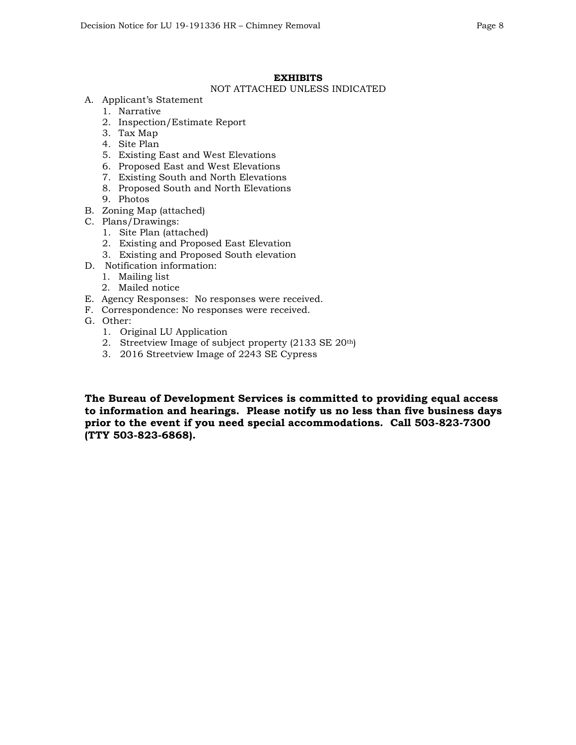## **EXHIBITS**

## NOT ATTACHED UNLESS INDICATED

- A. Applicant's Statement
	- 1. Narrative
	- 2. Inspection/Estimate Report
	- 3. Tax Map
	- 4. Site Plan
	- 5. Existing East and West Elevations
	- 6. Proposed East and West Elevations
	- 7. Existing South and North Elevations
	- 8. Proposed South and North Elevations
	- 9. Photos
- B. Zoning Map (attached)
- C. Plans/Drawings:
	- 1. Site Plan (attached)
	- 2. Existing and Proposed East Elevation
	- 3. Existing and Proposed South elevation
- D. Notification information:
	- 1. Mailing list
	- 2. Mailed notice
- E. Agency Responses: No responses were received.
- F. Correspondence: No responses were received.
- G. Other:
	- 1. Original LU Application
	- 2. Streetview Image of subject property (2133 SE 20th)
	- 3. 2016 Streetview Image of 2243 SE Cypress

**The Bureau of Development Services is committed to providing equal access to information and hearings. Please notify us no less than five business days prior to the event if you need special accommodations. Call 503-823-7300 (TTY 503-823-6868).**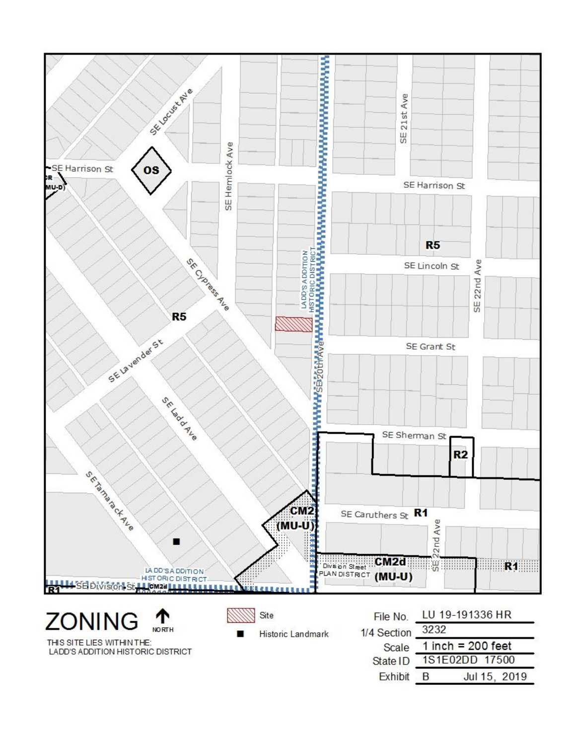